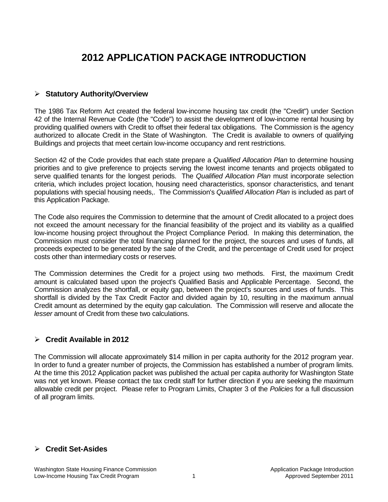# **2012 APPLICATION PACKAGE INTRODUCTION**

# **Statutory Authority/Overview**

The 1986 Tax Reform Act created the federal low-income housing tax credit (the "Credit") under Section 42 of the Internal Revenue Code (the "Code") to assist the development of low-income rental housing by providing qualified owners with Credit to offset their federal tax obligations. The Commission is the agency authorized to allocate Credit in the State of Washington. The Credit is available to owners of qualifying Buildings and projects that meet certain low-income occupancy and rent restrictions.

Section 42 of the Code provides that each state prepare a *Qualified Allocation Plan* to determine housing priorities and to give preference to projects serving the lowest income tenants and projects obligated to serve qualified tenants for the longest periods. The *Qualified Allocation Plan* must incorporate selection criteria, which includes project location, housing need characteristics, sponsor characteristics, and tenant populations with special housing needs,. The Commission's *Qualified Allocation Plan* is included as part of this Application Package.

The Code also requires the Commission to determine that the amount of Credit allocated to a project does not exceed the amount necessary for the financial feasibility of the project and its viability as a qualified low-income housing project throughout the Project Compliance Period. In making this determination, the Commission must consider the total financing planned for the project, the sources and uses of funds, all proceeds expected to be generated by the sale of the Credit, and the percentage of Credit used for project costs other than intermediary costs or reserves.

The Commission determines the Credit for a project using two methods. First, the maximum Credit amount is calculated based upon the project's Qualified Basis and Applicable Percentage. Second, the Commission analyzes the shortfall, or equity gap, between the project's sources and uses of funds. This shortfall is divided by the Tax Credit Factor and divided again by 10, resulting in the maximum annual Credit amount as determined by the equity gap calculation. The Commission will reserve and allocate the *lesser* amount of Credit from these two calculations.

# **Credit Available in 2012**

The Commission will allocate approximately \$14 million in per capita authority for the 2012 program year. In order to fund a greater number of projects, the Commission has established a number of program limits. At the time this 2012 Application packet was published the actual per capita authority for Washington State was not yet known. Please contact the tax credit staff for further direction if you are seeking the maximum allowable credit per project. Please refer to Program Limits, Chapter 3 of the *Policies* for a full discussion of all program limits.

# **Credit Set-Asides**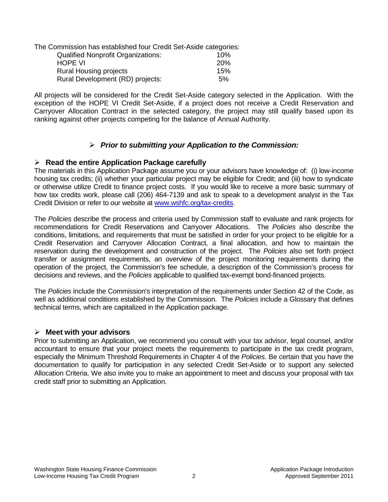| The Commission has established four Credit Set-Aside categories: |     |
|------------------------------------------------------------------|-----|
| <b>Qualified Nonprofit Organizations:</b>                        | 10% |
| <b>HOPE VI</b>                                                   | 20% |
| <b>Rural Housing projects</b>                                    | 15% |
| Rural Development (RD) projects:                                 | 5%  |

All projects will be considered for the Credit Set-Aside category selected in the Application. With the exception of the HOPE VI Credit Set-Aside, if a project does not receive a Credit Reservation and Carryover Allocation Contract in the selected category, the project may still qualify based upon its ranking against other projects competing for the balance of Annual Authority.

# *Prior to submitting your Application to the Commission:*

# **Read the entire Application Package carefully**

The materials in this Application Package assume you or your advisors have knowledge of: (i) low-income housing tax credits; (ii) whether your particular project may be eligible for Credit; and (iii) how to syndicate or otherwise utilize Credit to finance project costs. If you would like to receive a more basic summary of how tax credits work, please call (206) 464-7139 and ask to speak to a development analyst in the Tax Credit Division or refer to our website at [www.wshfc.org/tax-credits.](http://www.wshfc.org/tax-credits)

The *Policies* describe the process and criteria used by Commission staff to evaluate and rank projects for recommendations for Credit Reservations and Carryover Allocations. The *Policies* also describe the conditions, limitations, and requirements that must be satisfied in order for your project to be eligible for a Credit Reservation and Carryover Allocation Contract, a final allocation, and how to maintain the reservation during the development and construction of the project. The *Policies* also set forth project transfer or assignment requirements, an overview of the project monitoring requirements during the operation of the project, the Commission's fee schedule, a description of the Commission's process for decisions and reviews, and the *Policies* applicable to qualified tax-exempt bond-financed projects.

The *Policies* include the Commission's interpretation of the requirements under Section 42 of the Code, as well as additional conditions established by the Commission. The *Policies* include a Glossary that defines technical terms, which are capitalized in the Application package.

# **Meet with your advisors**

Prior to submitting an Application, we recommend you consult with your tax advisor, legal counsel, and/or accountant to ensure that your project meets the requirements to participate in the tax credit program, especially the Minimum Threshold Requirements in Chapter 4 of the *Policies*. Be certain that you have the documentation to qualify for participation in any selected Credit Set-Aside or to support any selected Allocation Criteria. We also invite you to make an appointment to meet and discuss your proposal with tax credit staff prior to submitting an Application.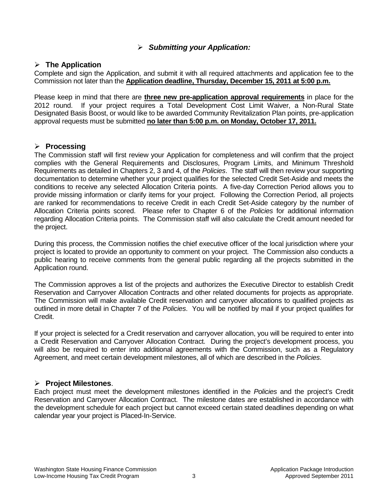# *Submitting your Application:*

#### **The Application**

Complete and sign the Application, and submit it with all required attachments and application fee to the Commission not later than the **Application deadline, Thursday, December 15, 2011 at 5:00 p.m.** 

Please keep in mind that there are **three new pre-application approval requirements** in place for the 2012 round. If your project requires a Total Development Cost Limit Waiver, a Non-Rural State Designated Basis Boost, or would like to be awarded Community Revitalization Plan points, pre-application approval requests must be submitted **no later than 5:00 p.m. on Monday, October 17, 2011.**

# **Processing**

The Commission staff will first review your Application for completeness and will confirm that the project complies with the General Requirements and Disclosures, Program Limits, and Minimum Threshold Requirements as detailed in Chapters 2, 3 and 4, of the *Policies*. The staff will then review your supporting documentation to determine whether your project qualifies for the selected Credit Set-Aside and meets the conditions to receive any selected Allocation Criteria points. A five-day Correction Period allows you to provide missing information or clarify items for your project. Following the Correction Period, all projects are ranked for recommendations to receive Credit in each Credit Set-Aside category by the number of Allocation Criteria points scored. Please refer to Chapter 6 of the *Policies* for additional information regarding Allocation Criteria points. The Commission staff will also calculate the Credit amount needed for the project.

During this process, the Commission notifies the chief executive officer of the local jurisdiction where your project is located to provide an opportunity to comment on your project. The Commission also conducts a public hearing to receive comments from the general public regarding all the projects submitted in the Application round.

The Commission approves a list of the projects and authorizes the Executive Director to establish Credit Reservation and Carryover Allocation Contracts and other related documents for projects as appropriate. The Commission will make available Credit reservation and carryover allocations to qualified projects as outlined in more detail in Chapter 7 of the *Policies*. You will be notified by mail if your project qualifies for Credit.

If your project is selected for a Credit reservation and carryover allocation, you will be required to enter into a Credit Reservation and Carryover Allocation Contract. During the project's development process, you will also be required to enter into additional agreements with the Commission, such as a Regulatory Agreement, and meet certain development milestones, all of which are described in the *Policies*.

# **Project Milestones**.

Each project must meet the development milestones identified in the *Policies* and the project's Credit Reservation and Carryover Allocation Contract. The milestone dates are established in accordance with the development schedule for each project but cannot exceed certain stated deadlines depending on what calendar year your project is Placed-In-Service.